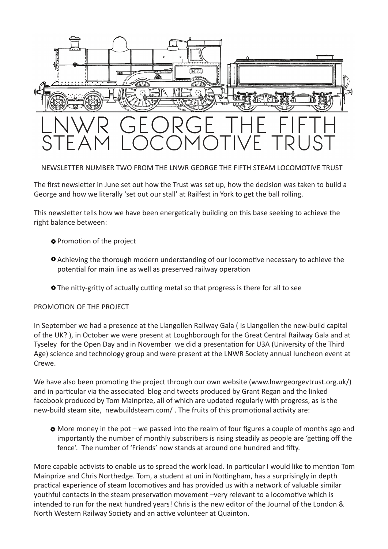

NEWSLETTER NUMBER TWO FROM THE LNWR GEORGE THE FIFTH STEAM LOCOMOTIVE TRUST

The first newsletter in June set out how the Trust was set up, how the decision was taken to build a George and how we literally 'set out our stall' at Railfest in York to get the ball rolling.

This newsletter tells how we have been energetically building on this base seeking to achieve the right balance between:

- **O** Promotion of the project
- Achieving the thorough modern understanding of our locomotive necessary to achieve the potential for main line as well as preserved railway operation
- **O** The nitty-gritty of actually cutting metal so that progress is there for all to see

PROMOTION OF THE PROJECT

In September we had a presence at the Llangollen Railway Gala ( Is Llangollen the new-build capital of the UK? ), in October we were present at Loughborough for the Great Central Railway Gala and at Tyseley for the Open Day and in November we did a presentation for U3A (University of the Third Age) science and technology group and were present at the LNWR Society annual luncheon event at Crewe.

We have also been promoting the project through our own website (www.lnwrgeorgevtrust.org.uk/) and in particular via the associated blog and tweets produced by Grant Regan and the linked facebook produced by Tom Mainprize, all of which are updated regularly with progress, as is the new-build steam site, newbuildsteam.com/ . The fruits of this promotional activity are:

**O** More money in the pot – we passed into the realm of four figures a couple of months ago and importantly the number of monthly subscribers is rising steadily as people are 'getting off the fence'. The number of 'Friends' now stands at around one hundred and fifty.

More capable activists to enable us to spread the work load. In particular I would like to mention Tom Mainprize and Chris Northedge. Tom, a student at uni in Nottingham, has a surprisingly in depth practical experience of steam locomotives and has provided us with a network of valuable similar youthful contacts in the steam preservation movement –very relevant to a locomotive which is intended to run for the next hundred years! Chris is the new editor of the Journal of the London & North Western Railway Society and an active volunteer at Quainton.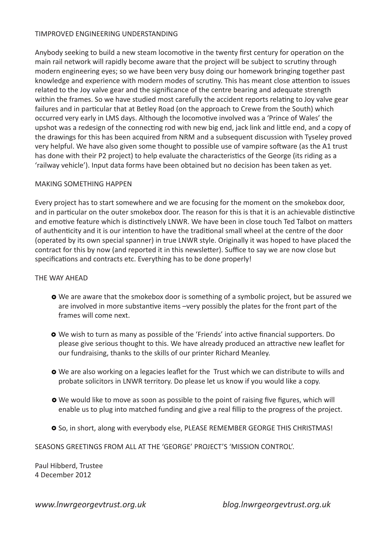### TIMPROVED ENGINEERING UNDERSTANDING

Anybody seeking to build a new steam locomotive in the twenty first century for operation on the main rail network will rapidly become aware that the project will be subject to scrutiny through modern engineering eyes; so we have been very busy doing our homework bringing together past knowledge and experience with modern modes of scrutiny. This has meant close attention to issues related to the Joy valve gear and the significance of the centre bearing and adequate strength within the frames. So we have studied most carefully the accident reports relating to Joy valve gear failures and in particular that at Betley Road (on the approach to Crewe from the South) which occurred very early in LMS days. Although the locomotive involved was a 'Prince of Wales' the upshot was a redesign of the connecting rod with new big end, jack link and little end, and a copy of the drawings for this has been acquired from NRM and a subsequent discussion with Tyseley proved very helpful. We have also given some thought to possible use of vampire software (as the A1 trust has done with their P2 project) to help evaluate the characteristics of the George (its riding as a 'railway vehicle'). Input data forms have been obtained but no decision has been taken as yet.

### MAKING SOMETHING HAPPEN

Every project has to start somewhere and we are focusing for the moment on the smokebox door, and in particular on the outer smokebox door. The reason for this is that it is an achievable distinctive and emotive feature which is distinctively LNWR. We have been in close touch Ted Talbot on matters of authenticity and it is our intention to have the traditional small wheel at the centre of the door (operated by its own special spanner) in true LNWR style. Originally it was hoped to have placed the contract for this by now (and reported it in this newsletter). Suffice to say we are now close but specifications and contracts etc. Everything has to be done properly!

### THE WAY AHEAD

- We are aware that the smokebox door is something of a symbolic project, but be assured we are involved in more substantive items –very possibly the plates for the front part of the frames will come next.
- We wish to turn as many as possible of the 'Friends' into active financial supporters. Do please give serious thought to this. We have already produced an attractive new leaflet for our fundraising, thanks to the skills of our printer Richard Meanley.
- We are also working on a legacies leaflet for the Trust which we can distribute to wills and probate solicitors in LNWR territory. Do please let us know if you would like a copy.
- We would like to move as soon as possible to the point of raising five figures, which will enable us to plug into matched funding and give a real fillip to the progress of the project.
- O So, in short, along with everybody else, PLEASE REMEMBER GEORGE THIS CHRISTMAS!

SEASONS GREETINGS FROM ALL AT THE 'GEORGE' PROJECT'S 'MISSION CONTROL'.

Paul Hibberd, Trustee 4 December 2012